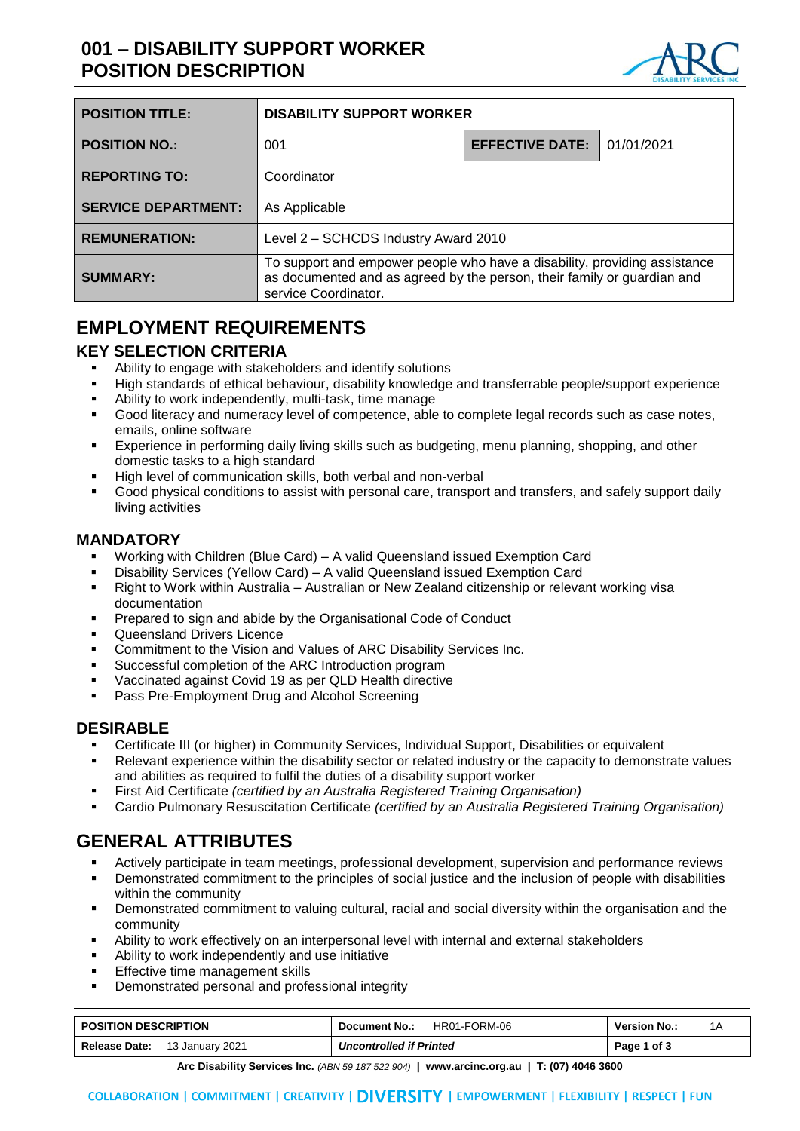# **001 – DISABILITY SUPPORT WORKER POSITION DESCRIPTION**



| <b>POSITION TITLE:</b>     | <b>DISABILITY SUPPORT WORKER</b>                                                                                                                                             |                        |            |
|----------------------------|------------------------------------------------------------------------------------------------------------------------------------------------------------------------------|------------------------|------------|
| <b>POSITION NO.:</b>       | 001                                                                                                                                                                          | <b>EFFECTIVE DATE:</b> | 01/01/2021 |
| <b>REPORTING TO:</b>       | Coordinator                                                                                                                                                                  |                        |            |
| <b>SERVICE DEPARTMENT:</b> | As Applicable                                                                                                                                                                |                        |            |
| <b>REMUNERATION:</b>       | Level 2 - SCHCDS Industry Award 2010                                                                                                                                         |                        |            |
| <b>SUMMARY:</b>            | To support and empower people who have a disability, providing assistance<br>as documented and as agreed by the person, their family or guardian and<br>service Coordinator. |                        |            |

## **EMPLOYMENT REQUIREMENTS**

#### **KEY SELECTION CRITERIA**

- Ability to engage with stakeholders and identify solutions
- High standards of ethical behaviour, disability knowledge and transferrable people/support experience
- Ability to work independently, multi-task, time manage
- Good literacy and numeracy level of competence, able to complete legal records such as case notes, emails, online software
- Experience in performing daily living skills such as budgeting, menu planning, shopping, and other domestic tasks to a high standard
- High level of communication skills, both verbal and non-verbal
- Good physical conditions to assist with personal care, transport and transfers, and safely support daily living activities

#### **MANDATORY**

- Working with Children (Blue Card) A valid Queensland issued Exemption Card
- Disability Services (Yellow Card) A valid Queensland issued Exemption Card
- Right to Work within Australia Australian or New Zealand citizenship or relevant working visa documentation
- Prepared to sign and abide by the Organisational Code of Conduct
- Queensland Drivers Licence
- Commitment to the Vision and Values of ARC Disability Services Inc.
- Successful completion of the ARC Introduction program
- Vaccinated against Covid 19 as per QLD Health directive
- Pass Pre-Employment Drug and Alcohol Screening

#### **DESIRABLE**

- Certificate III (or higher) in Community Services, Individual Support, Disabilities or equivalent
- Relevant experience within the disability sector or related industry or the capacity to demonstrate values and abilities as required to fulfil the duties of a disability support worker
- First Aid Certificate *(certified by an Australia Registered Training Organisation)*
- Cardio Pulmonary Resuscitation Certificate *(certified by an Australia Registered Training Organisation)*

# **GENERAL ATTRIBUTES**

- Actively participate in team meetings, professional development, supervision and performance reviews
- Demonstrated commitment to the principles of social justice and the inclusion of people with disabilities within the community
- Demonstrated commitment to valuing cultural, racial and social diversity within the organisation and the community
- Ability to work effectively on an interpersonal level with internal and external stakeholders
- Ability to work independently and use initiative
- Effective time management skills
- Demonstrated personal and professional integrity

| <b>POSITION DESCRIPTION</b>             | HR01-FORM-06<br>Document No.:  | <b>Version No.:</b> |
|-----------------------------------------|--------------------------------|---------------------|
| <b>Release Date:</b><br>13 January 2021 | <b>Uncontrolled if Printed</b> | Page 1 of 3         |

**Arc Disability Services Inc.** *(ABN 59 187 522 904)* **| www.arcinc.org.au | T: (07) 4046 3600**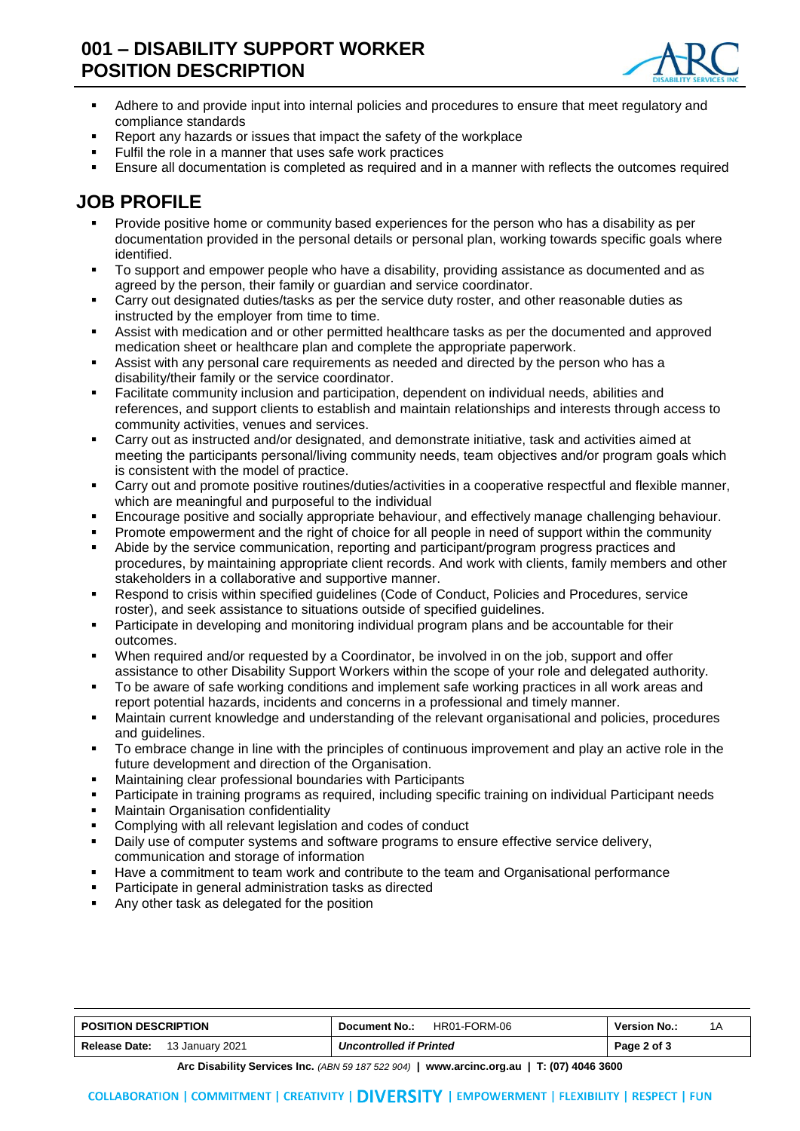## **001 – DISABILITY SUPPORT WORKER POSITION DESCRIPTION**



- Adhere to and provide input into internal policies and procedures to ensure that meet regulatory and compliance standards
- Report any hazards or issues that impact the safety of the workplace
- Fulfil the role in a manner that uses safe work practices
- Ensure all documentation is completed as required and in a manner with reflects the outcomes required

## **JOB PROFILE**

- Provide positive home or community based experiences for the person who has a disability as per documentation provided in the personal details or personal plan, working towards specific goals where identified.
- To support and empower people who have a disability, providing assistance as documented and as agreed by the person, their family or guardian and service coordinator.
- Carry out designated duties/tasks as per the service duty roster, and other reasonable duties as instructed by the employer from time to time.
- Assist with medication and or other permitted healthcare tasks as per the documented and approved medication sheet or healthcare plan and complete the appropriate paperwork.
- Assist with any personal care requirements as needed and directed by the person who has a disability/their family or the service coordinator.
- Facilitate community inclusion and participation, dependent on individual needs, abilities and references, and support clients to establish and maintain relationships and interests through access to community activities, venues and services.
- Carry out as instructed and/or designated, and demonstrate initiative, task and activities aimed at meeting the participants personal/living community needs, team objectives and/or program goals which is consistent with the model of practice.
- Carry out and promote positive routines/duties/activities in a cooperative respectful and flexible manner, which are meaningful and purposeful to the individual
- Encourage positive and socially appropriate behaviour, and effectively manage challenging behaviour.
- Promote empowerment and the right of choice for all people in need of support within the community
- Abide by the service communication, reporting and participant/program progress practices and procedures, by maintaining appropriate client records. And work with clients, family members and other stakeholders in a collaborative and supportive manner.
- Respond to crisis within specified guidelines (Code of Conduct, Policies and Procedures, service roster), and seek assistance to situations outside of specified guidelines.
- Participate in developing and monitoring individual program plans and be accountable for their outcomes.
- When required and/or requested by a Coordinator, be involved in on the job, support and offer assistance to other Disability Support Workers within the scope of your role and delegated authority.
- To be aware of safe working conditions and implement safe working practices in all work areas and report potential hazards, incidents and concerns in a professional and timely manner.
- Maintain current knowledge and understanding of the relevant organisational and policies, procedures and guidelines.
- To embrace change in line with the principles of continuous improvement and play an active role in the future development and direction of the Organisation.
- Maintaining clear professional boundaries with Participants
- Participate in training programs as required, including specific training on individual Participant needs
- Maintain Organisation confidentiality
- Complying with all relevant legislation and codes of conduct
- Daily use of computer systems and software programs to ensure effective service delivery, communication and storage of information
- Have a commitment to team work and contribute to the team and Organisational performance
- Participate in general administration tasks as directed
- Any other task as delegated for the position

| <b>POSITION DESCRIPTION</b>             | HR01-FORM-06<br>Document No.:  | <b>Version No.:</b> |
|-----------------------------------------|--------------------------------|---------------------|
| <b>Release Date:</b><br>13 January 2021 | <b>Uncontrolled if Printed</b> | Page 2 of 3         |

**Arc Disability Services Inc.** *(ABN 59 187 522 904)* **| www.arcinc.org.au | T: (07) 4046 3600**